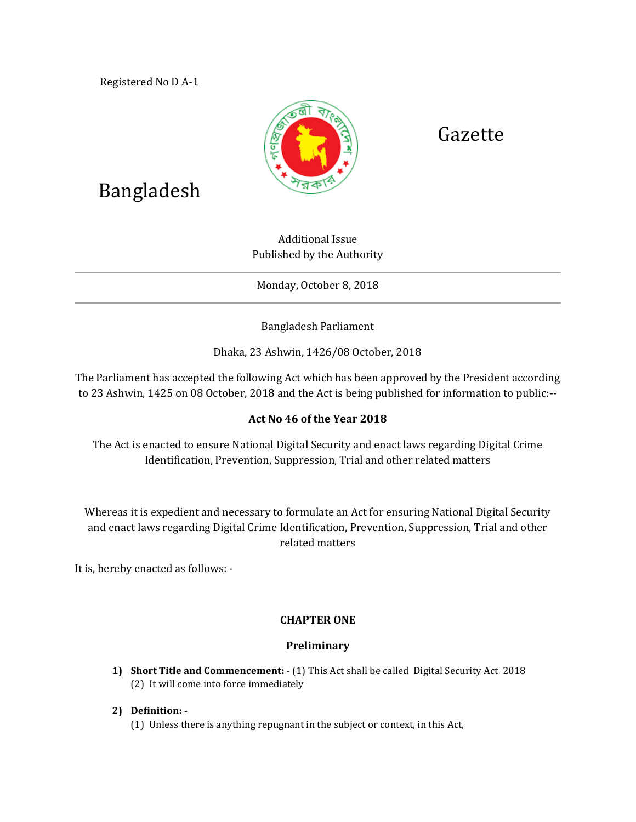Registered No D A-1



# Gazette

# Bangladesh

Additional Issue Published by the Authority

Monday, October 8, 2018

Bangladesh Parliament

Dhaka, 23 Ashwin, 1426/08 October, 2018

The Parliament has accepted the following Act which has been approved by the President according to 23 Ashwin, 1425 on 08 October, 2018 and the Act is being published for information to public:--

# **Act No 46 of the Year 2018**

The Act is enacted to ensure National Digital Security and enact laws regarding Digital Crime Identification, Prevention, Suppression, Trial and other related matters

Whereas it is expedient and necessary to formulate an Act for ensuring National Digital Security and enact laws regarding Digital Crime Identification, Prevention, Suppression, Trial and other related matters

It is, hereby enacted as follows: -

# **CHAPTER ONE**

# **Preliminary**

- **1) Short Title and Commencement: -** (1) This Act shall be called Digital Security Act 2018 (2) It will come into force immediately
- **2) Definition: -**
	- (1) Unless there is anything repugnant in the subject or context, in this Act,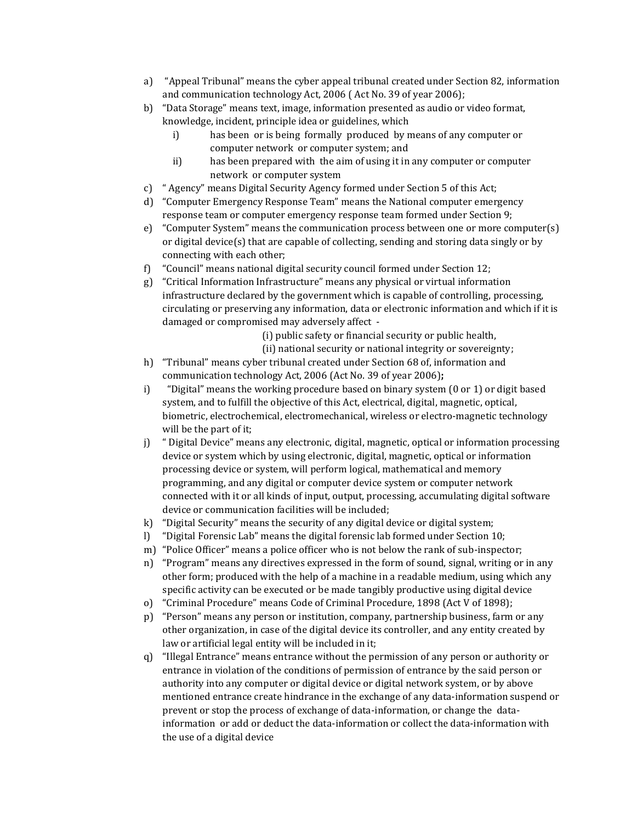- a) "Appeal Tribunal" means the cyber appeal tribunal created under Section 82, information and communication technology Act, 2006 ( Act No. 39 of year 2006);
- b) "Data Storage" means text, image, information presented as audio or video format, knowledge, incident, principle idea or guidelines, which
	- i) has been or is being formally produced by means of any computer or computer network or computer system; and
	- ii) has been prepared with the aim of using it in any computer or computer network or computer system
- c) " Agency" means Digital Security Agency formed under Section 5 of this Act;
- d) "Computer Emergency Response Team" means the National computer emergency response team or computer emergency response team formed under Section 9;
- e) "Computer System" means the communication process between one or more computer(s) or digital device(s) that are capable of collecting, sending and storing data singly or by connecting with each other;
- f) "Council" means national digital security council formed under Section 12;
- g) "Critical Information Infrastructure" means any physical or virtual information infrastructure declared by the government which is capable of controlling, processing, circulating or preserving any information, data or electronic information and which if it is damaged or compromised may adversely affect -

(i) public safety or financial security or public health,

- (ii) national security or national integrity or sovereignty;
- h) "Tribunal" means cyber tribunal created under Section 68 of, information and communication technology Act, 2006 (Act No. 39 of year 2006)**;**
- i) "Digital" means the working procedure based on binary system (0 or 1) or digit based system, and to fulfill the objective of this Act, electrical, digital, magnetic, optical, biometric, electrochemical, electromechanical, wireless or electro-magnetic technology will be the part of it;
- j) " Digital Device" means any electronic, digital, magnetic, optical or information processing device or system which by using electronic, digital, magnetic, optical or information processing device or system, will perform logical, mathematical and memory programming, and any digital or computer device system or computer network connected with it or all kinds of input, output, processing, accumulating digital software device or communication facilities will be included;
- k) "Digital Security" means the security of any digital device or digital system;
- l) "Digital Forensic Lab" means the digital forensic lab formed under Section 10;
- m) "Police Officer" means a police officer who is not below the rank of sub-inspector;
- n) "Program" means any directives expressed in the form of sound, signal, writing or in any other form; produced with the help of a machine in a readable medium, using which any specific activity can be executed or be made tangibly productive using digital device
- o) "Criminal Procedure" means Code of Criminal Procedure, 1898 (Act V of 1898);
- p) "Person" means any person or institution, company, partnership business, farm or any other organization, in case of the digital device its controller, and any entity created by law or artificial legal entity will be included in it;
- q) "Illegal Entrance" means entrance without the permission of any person or authority or entrance in violation of the conditions of permission of entrance by the said person or authority into any computer or digital device or digital network system, or by above mentioned entrance create hindrance in the exchange of any data-information suspend or prevent or stop the process of exchange of data-information, or change the datainformation or add or deduct the data-information or collect the data-information with the use of a digital device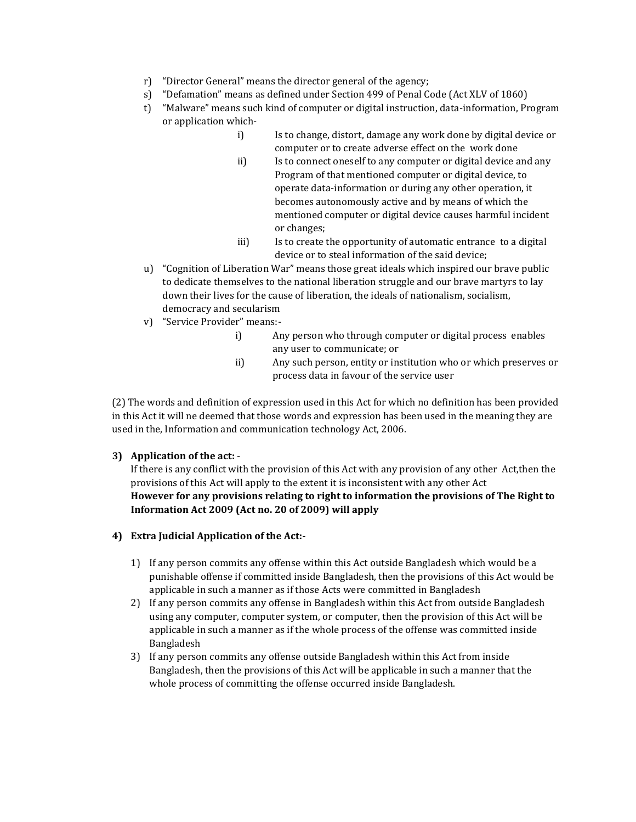- r) "Director General" means the director general of the agency;
- s) "Defamation" means as defined under Section 499 of Penal Code (Act XLV of 1860)
- t) "Malware" means such kind of computer or digital instruction, data-information, Program or application which
	- i) Is to change, distort, damage any work done by digital device or computer or to create adverse effect on the work done
		- ii) Is to connect oneself to any computer or digital device and any Program of that mentioned computer or digital device, to operate data-information or during any other operation, it becomes autonomously active and by means of which the mentioned computer or digital device causes harmful incident or changes;
		- iii) Is to create the opportunity of automatic entrance to a digital device or to steal information of the said device;
- u) "Cognition of Liberation War" means those great ideals which inspired our brave public to dedicate themselves to the national liberation struggle and our brave martyrs to lay down their lives for the cause of liberation, the ideals of nationalism, socialism, democracy and secularism
- v) "Service Provider" means:
	- i) Any person who through computer or digital process enables any user to communicate; or
	- ii) Any such person, entity or institution who or which preserves or process data in favour of the service user

(2) The words and definition of expression used in this Act for which no definition has been provided in this Act it will ne deemed that those words and expression has been used in the meaning they are used in the, Information and communication technology Act, 2006.

## **3) Application of the act:** -

If there is any conflict with the provision of this Act with any provision of any other Act,then the provisions of this Act will apply to the extent it is inconsistent with any other Act **However for any provisions relating to right to information the provisions of The Right to Information Act 2009 (Act no. 20 of 2009) will apply**

## **4) Extra Judicial Application of the Act:-**

- 1) If any person commits any offense within this Act outside Bangladesh which would be a punishable offense if committed inside Bangladesh, then the provisions of this Act would be applicable in such a manner as if those Acts were committed in Bangladesh
- 2) If any person commits any offense in Bangladesh within this Act from outside Bangladesh using any computer, computer system, or computer, then the provision of this Act will be applicable in such a manner as if the whole process of the offense was committed inside Bangladesh
- 3) If any person commits any offense outside Bangladesh within this Act from inside Bangladesh, then the provisions of this Act will be applicable in such a manner that the whole process of committing the offense occurred inside Bangladesh.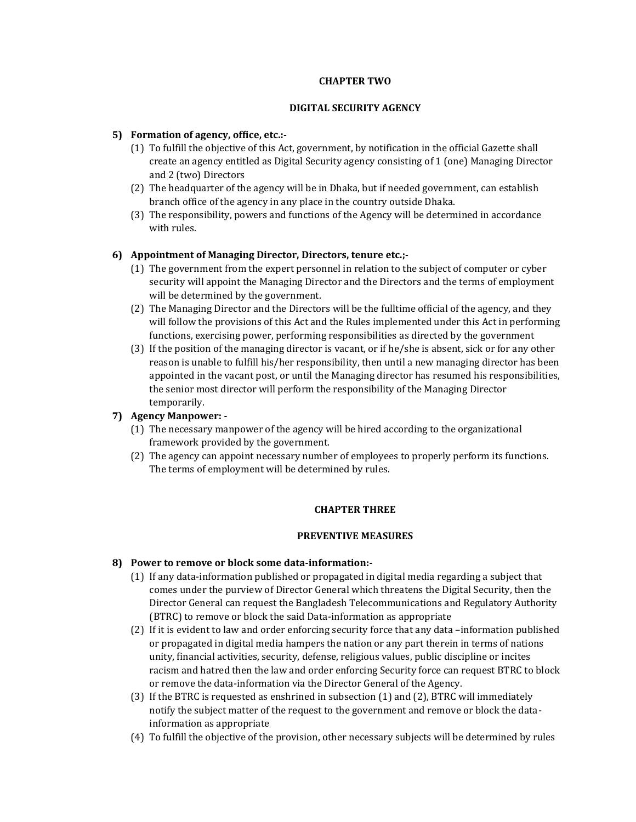## **CHAPTER TWO**

## **DIGITAL SECURITY AGENCY**

## **5) Formation of agency, office, etc.:-**

- (1) To fulfill the objective of this Act, government, by notification in the official Gazette shall create an agency entitled as Digital Security agency consisting of 1 (one) Managing Director and 2 (two) Directors
- (2) The headquarter of the agency will be in Dhaka, but if needed government, can establish branch office of the agency in any place in the country outside Dhaka.
- (3) The responsibility, powers and functions of the Agency will be determined in accordance with rules.

## **6) Appointment of Managing Director, Directors, tenure etc.;-**

- (1) The government from the expert personnel in relation to the subject of computer or cyber security will appoint the Managing Director and the Directors and the terms of employment will be determined by the government.
- (2) The Managing Director and the Directors will be the fulltime official of the agency, and they will follow the provisions of this Act and the Rules implemented under this Act in performing functions, exercising power, performing responsibilities as directed by the government
- (3) If the position of the managing director is vacant, or if he/she is absent, sick or for any other reason is unable to fulfill his/her responsibility, then until a new managing director has been appointed in the vacant post, or until the Managing director has resumed his responsibilities, the senior most director will perform the responsibility of the Managing Director temporarily.

## **7) Agency Manpower: -**

- (1) The necessary manpower of the agency will be hired according to the organizational framework provided by the government.
- (2) The agency can appoint necessary number of employees to properly perform its functions. The terms of employment will be determined by rules.

## **CHAPTER THREE**

## **PREVENTIVE MEASURES**

## **8) Power to remove or block some data-information:-**

- (1) If any data-information published or propagated in digital media regarding a subject that comes under the purview of Director General which threatens the Digital Security, then the Director General can request the Bangladesh Telecommunications and Regulatory Authority (BTRC) to remove or block the said Data-information as appropriate
- (2) If it is evident to law and order enforcing security force that any data –information published or propagated in digital media hampers the nation or any part therein in terms of nations unity, financial activities, security, defense, religious values, public discipline or incites racism and hatred then the law and order enforcing Security force can request BTRC to block or remove the data-information via the Director General of the Agency.
- (3) If the BTRC is requested as enshrined in subsection (1) and (2), BTRC will immediately notify the subject matter of the request to the government and remove or block the datainformation as appropriate
- (4) To fulfill the objective of the provision, other necessary subjects will be determined by rules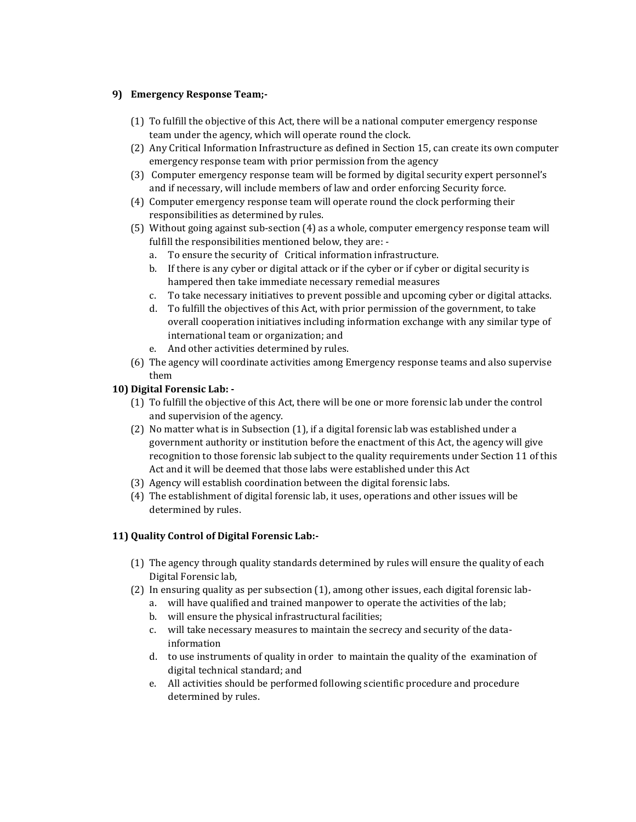## **9) Emergency Response Team;-**

- (1) To fulfill the objective of this Act, there will be a national computer emergency response team under the agency, which will operate round the clock.
- (2) Any Critical Information Infrastructure as defined in Section 15, can create its own computer emergency response team with prior permission from the agency
- (3) Computer emergency response team will be formed by digital security expert personnel's and if necessary, will include members of law and order enforcing Security force.
- (4) Computer emergency response team will operate round the clock performing their responsibilities as determined by rules.
- (5) Without going against sub-section (4) as a whole, computer emergency response team will fulfill the responsibilities mentioned below, they are:
	- a. To ensure the security of Critical information infrastructure.
	- b. If there is any cyber or digital attack or if the cyber or if cyber or digital security is hampered then take immediate necessary remedial measures
	- c. To take necessary initiatives to prevent possible and upcoming cyber or digital attacks.
	- d. To fulfill the objectives of this Act, with prior permission of the government, to take overall cooperation initiatives including information exchange with any similar type of international team or organization; and
	- e. And other activities determined by rules.
- (6) The agency will coordinate activities among Emergency response teams and also supervise them

## **10) Digital Forensic Lab: -**

- (1) To fulfill the objective of this Act, there will be one or more forensic lab under the control and supervision of the agency.
- (2) No matter what is in Subsection (1), if a digital forensic lab was established under a government authority or institution before the enactment of this Act, the agency will give recognition to those forensic lab subject to the quality requirements under Section 11 of this Act and it will be deemed that those labs were established under this Act
- (3) Agency will establish coordination between the digital forensic labs.
- (4) The establishment of digital forensic lab, it uses, operations and other issues will be determined by rules.

# **11) Quality Control of Digital Forensic Lab:-**

- (1) The agency through quality standards determined by rules will ensure the quality of each Digital Forensic lab,
- (2) In ensuring quality as per subsection (1), among other issues, each digital forensic lab
	- a. will have qualified and trained manpower to operate the activities of the lab;
	- b. will ensure the physical infrastructural facilities;
	- c. will take necessary measures to maintain the secrecy and security of the datainformation
	- d. to use instruments of quality in order to maintain the quality of the examination of digital technical standard; and
	- e. All activities should be performed following scientific procedure and procedure determined by rules.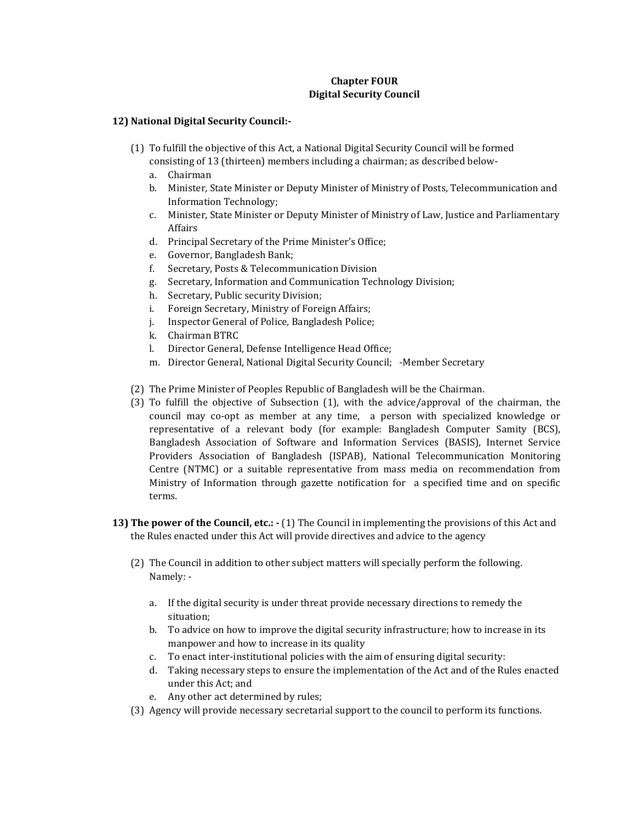## **Chapter FOUR Digital Security Council**

## **12) National Digital Security Council:-**

- (1) To fulfill the objective of this Act, a National Digital Security Council will be formed consisting of 13 (thirteen) members including a chairman; as described below
	- a. Chairman
	- b. Minister, State Minister or Deputy Minister of Ministry of Posts, Telecommunication and Information Technology;
	- c. Minister, State Minister or Deputy Minister of Ministry of Law, Justice and Parliamentary Affairs
	- d. Principal Secretary of the Prime Minister's Office;
	- e. Governor, Bangladesh Bank;
	- f. Secretary, Posts & Telecommunication Division
	- g. Secretary, Information and Communication Technology Division;
	- h. Secretary, Public security Division;
	- i. Foreign Secretary, Ministry of Foreign Affairs;
	- j. Inspector General of Police, Bangladesh Police;
	- k. Chairman BTRC
	- l. Director General, Defense Intelligence Head Office;
	- m. Director General, National Digital Security Council; -Member Secretary
- (2) The Prime Minister of Peoples Republic of Bangladesh will be the Chairman.
- (3) To fulfill the objective of Subsection (1), with the advice/approval of the chairman, the council may co-opt as member at any time, a person with specialized knowledge or representative of a relevant body (for example: Bangladesh Computer Samity (BCS), Bangladesh Association of Software and Information Services (BASIS), Internet Service Providers Association of Bangladesh (ISPAB), National Telecommunication Monitoring Centre (NTMC) or a suitable representative from mass media on recommendation from Ministry of Information through gazette notification for a specified time and on specific terms.
- **13) The power of the Council, etc.: -** (1) The Council in implementing the provisions of this Act and the Rules enacted under this Act will provide directives and advice to the agency
	- (2) The Council in addition to other subject matters will specially perform the following. Namely:
		- a. If the digital security is under threat provide necessary directions to remedy the situation;
		- b. To advice on how to improve the digital security infrastructure; how to increase in its manpower and how to increase in its quality
		- c. To enact inter-institutional policies with the aim of ensuring digital security:
		- d. Taking necessary steps to ensure the implementation of the Act and of the Rules enacted under this Act; and
		- e. Any other act determined by rules;
	- (3) Agency will provide necessary secretarial support to the council to perform its functions.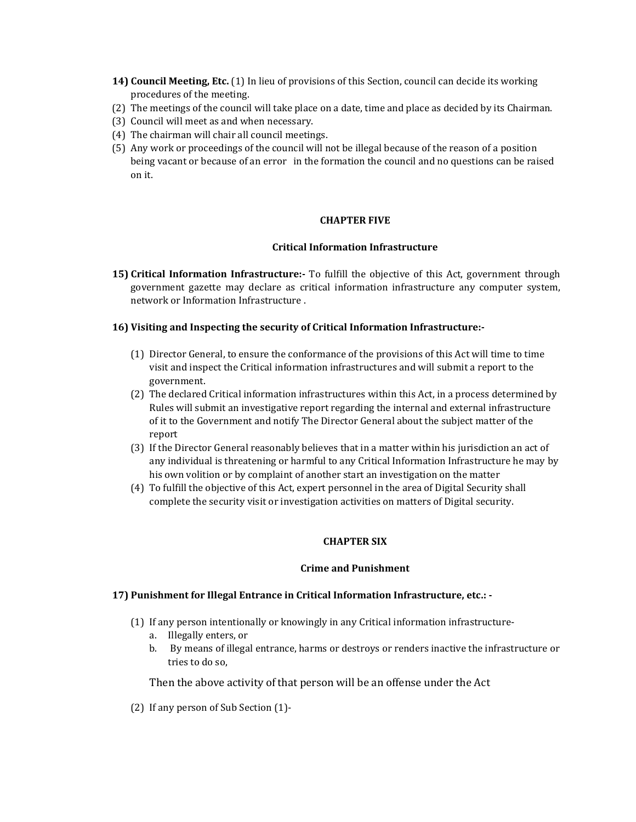- **14) Council Meeting, Etc.** (1) In lieu of provisions of this Section, council can decide its working procedures of the meeting.
- (2) The meetings of the council will take place on a date, time and place as decided by its Chairman.
- (3) Council will meet as and when necessary.
- (4) The chairman will chair all council meetings.
- (5) Any work or proceedings of the council will not be illegal because of the reason of a position being vacant or because of an error in the formation the council and no questions can be raised on it.

## **CHAPTER FIVE**

## **Critical Information Infrastructure**

**15) Critical Information Infrastructure:-** To fulfill the objective of this Act, government through government gazette may declare as critical information infrastructure any computer system, network or Information Infrastructure .

## **16) Visiting and Inspecting the security of Critical Information Infrastructure:-**

- (1) Director General, to ensure the conformance of the provisions of this Act will time to time visit and inspect the Critical information infrastructures and will submit a report to the government.
- (2) The declared Critical information infrastructures within this Act, in a process determined by Rules will submit an investigative report regarding the internal and external infrastructure of it to the Government and notify The Director General about the subject matter of the report
- (3) If the Director General reasonably believes that in a matter within his jurisdiction an act of any individual is threatening or harmful to any Critical Information Infrastructure he may by his own volition or by complaint of another start an investigation on the matter
- (4) To fulfill the objective of this Act, expert personnel in the area of Digital Security shall complete the security visit or investigation activities on matters of Digital security.

## **CHAPTER SIX**

## **Crime and Punishment**

## **17) Punishment for Illegal Entrance in Critical Information Infrastructure, etc.: -**

- (1) If any person intentionally or knowingly in any Critical information infrastructure
	- a. Illegally enters, or
	- b. By means of illegal entrance, harms or destroys or renders inactive the infrastructure or tries to do so,

Then the above activity of that person will be an offense under the Act

(2) If any person of Sub Section (1)-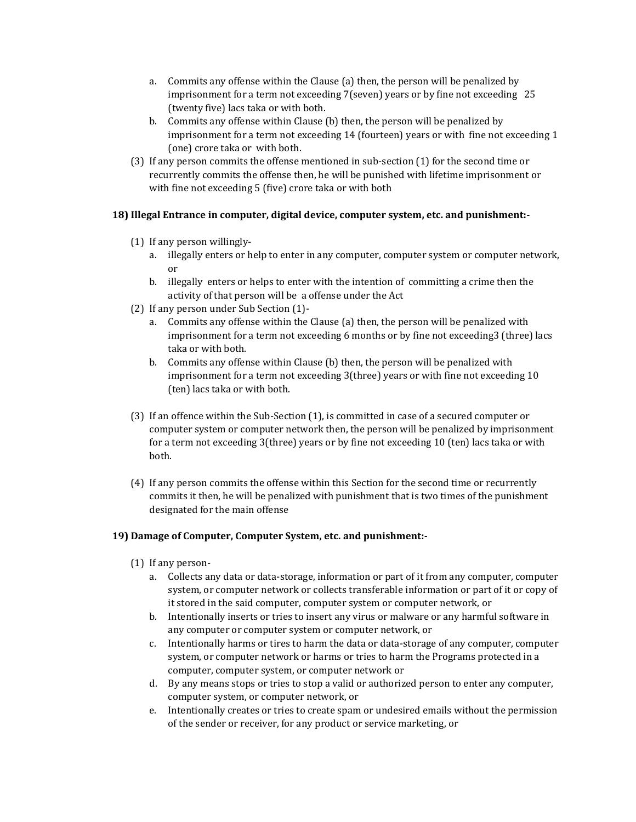- a. Commits any offense within the Clause (a) then, the person will be penalized by imprisonment for a term not exceeding 7(seven) years or by fine not exceeding 25 (twenty five) lacs taka or with both.
- b. Commits any offense within Clause (b) then, the person will be penalized by imprisonment for a term not exceeding 14 (fourteen) years or with fine not exceeding 1 (one) crore taka or with both.
- (3) If any person commits the offense mentioned in sub-section (1) for the second time or recurrently commits the offense then, he will be punished with lifetime imprisonment or with fine not exceeding 5 (five) crore taka or with both

## **18) Illegal Entrance in computer, digital device, computer system, etc. and punishment:-**

- (1) If any person willingly
	- a. illegally enters or help to enter in any computer, computer system or computer network, or
	- b. illegally enters or helps to enter with the intention of committing a crime then the activity of that person will be a offense under the Act
- (2) If any person under Sub Section (1)
	- a. Commits any offense within the Clause (a) then, the person will be penalized with imprisonment for a term not exceeding 6 months or by fine not exceeding3 (three) lacs taka or with both.
	- b. Commits any offense within Clause (b) then, the person will be penalized with imprisonment for a term not exceeding 3(three) years or with fine not exceeding 10 (ten) lacs taka or with both.
- (3) If an offence within the Sub-Section (1), is committed in case of a secured computer or computer system or computer network then, the person will be penalized by imprisonment for a term not exceeding 3(three) years or by fine not exceeding 10 (ten) lacs taka or with both.
- (4) If any person commits the offense within this Section for the second time or recurrently commits it then, he will be penalized with punishment that is two times of the punishment designated for the main offense

# **19) Damage of Computer, Computer System, etc. and punishment:-**

- (1) If any person
	- a. Collects any data or data-storage, information or part of it from any computer, computer system, or computer network or collects transferable information or part of it or copy of it stored in the said computer, computer system or computer network, or
	- b. Intentionally inserts or tries to insert any virus or malware or any harmful software in any computer or computer system or computer network, or
	- c. Intentionally harms or tires to harm the data or data-storage of any computer, computer system, or computer network or harms or tries to harm the Programs protected in a computer, computer system, or computer network or
	- d. By any means stops or tries to stop a valid or authorized person to enter any computer, computer system, or computer network, or
	- e. Intentionally creates or tries to create spam or undesired emails without the permission of the sender or receiver, for any product or service marketing, or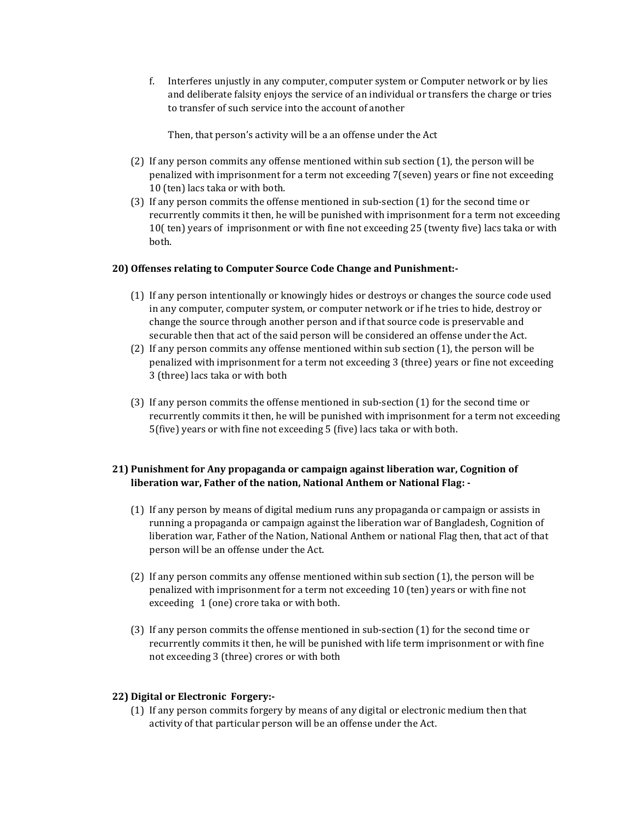f. Interferes unjustly in any computer, computer system or Computer network or by lies and deliberate falsity enjoys the service of an individual or transfers the charge or tries to transfer of such service into the account of another

Then, that person's activity will be a an offense under the Act

- (2) If any person commits any offense mentioned within sub section (1), the person will be penalized with imprisonment for a term not exceeding 7(seven) years or fine not exceeding 10 (ten) lacs taka or with both.
- (3) If any person commits the offense mentioned in sub-section (1) for the second time or recurrently commits it then, he will be punished with imprisonment for a term not exceeding 10( ten) years of imprisonment or with fine not exceeding 25 (twenty five) lacs taka or with both.

## **20) Offenses relating to Computer Source Code Change and Punishment:-**

- (1) If any person intentionally or knowingly hides or destroys or changes the source code used in any computer, computer system, or computer network or if he tries to hide, destroy or change the source through another person and if that source code is preservable and securable then that act of the said person will be considered an offense under the Act.
- (2) If any person commits any offense mentioned within sub section (1), the person will be penalized with imprisonment for a term not exceeding 3 (three) years or fine not exceeding 3 (three) lacs taka or with both
- (3) If any person commits the offense mentioned in sub-section (1) for the second time or recurrently commits it then, he will be punished with imprisonment for a term not exceeding 5(five) years or with fine not exceeding 5 (five) lacs taka or with both.

## **21) Punishment for Any propaganda or campaign against liberation war, Cognition of liberation war, Father of the nation, National Anthem or National Flag: -**

- (1) If any person by means of digital medium runs any propaganda or campaign or assists in running a propaganda or campaign against the liberation war of Bangladesh, Cognition of liberation war, Father of the Nation, National Anthem or national Flag then, that act of that person will be an offense under the Act.
- (2) If any person commits any offense mentioned within sub section (1), the person will be penalized with imprisonment for a term not exceeding 10 (ten) years or with fine not exceeding 1 (one) crore taka or with both.
- (3) If any person commits the offense mentioned in sub-section (1) for the second time or recurrently commits it then, he will be punished with life term imprisonment or with fine not exceeding 3 (three) crores or with both

## **22) Digital or Electronic Forgery:-**

(1) If any person commits forgery by means of any digital or electronic medium then that activity of that particular person will be an offense under the Act.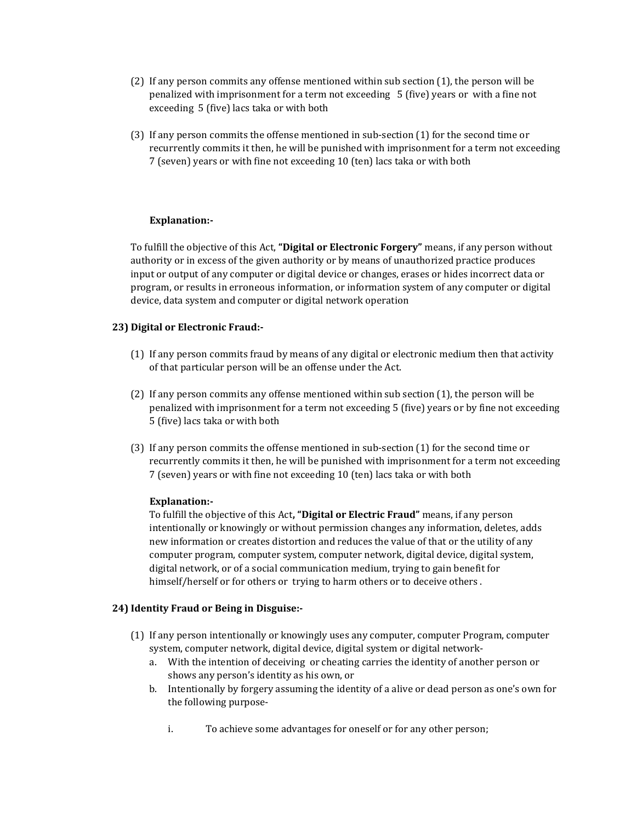- (2) If any person commits any offense mentioned within sub section (1), the person will be penalized with imprisonment for a term not exceeding 5 (five) years or with a fine not exceeding 5 (five) lacs taka or with both
- (3) If any person commits the offense mentioned in sub-section (1) for the second time or recurrently commits it then, he will be punished with imprisonment for a term not exceeding 7 (seven) years or with fine not exceeding 10 (ten) lacs taka or with both

## **Explanation:-**

To fulfill the objective of this Act, **"Digital or Electronic Forgery"** means, if any person without authority or in excess of the given authority or by means of unauthorized practice produces input or output of any computer or digital device or changes, erases or hides incorrect data or program, or results in erroneous information, or information system of any computer or digital device, data system and computer or digital network operation

## **23) Digital or Electronic Fraud:-**

- (1) If any person commits fraud by means of any digital or electronic medium then that activity of that particular person will be an offense under the Act.
- (2) If any person commits any offense mentioned within sub section (1), the person will be penalized with imprisonment for a term not exceeding 5 (five) years or by fine not exceeding 5 (five) lacs taka or with both
- (3) If any person commits the offense mentioned in sub-section (1) for the second time or recurrently commits it then, he will be punished with imprisonment for a term not exceeding 7 (seven) years or with fine not exceeding 10 (ten) lacs taka or with both

## **Explanation:-**

To fulfill the objective of this Act**, "Digital or Electric Fraud"** means, if any person intentionally or knowingly or without permission changes any information, deletes, adds new information or creates distortion and reduces the value of that or the utility of any computer program, computer system, computer network, digital device, digital system, digital network, or of a social communication medium, trying to gain benefit for himself/herself or for others or trying to harm others or to deceive others .

## **24) Identity Fraud or Being in Disguise:-**

- (1) If any person intentionally or knowingly uses any computer, computer Program, computer system, computer network, digital device, digital system or digital network
	- a. With the intention of deceiving or cheating carries the identity of another person or shows any person's identity as his own, or
	- b. Intentionally by forgery assuming the identity of a alive or dead person as one's own for the following purpose
		- i. To achieve some advantages for oneself or for any other person;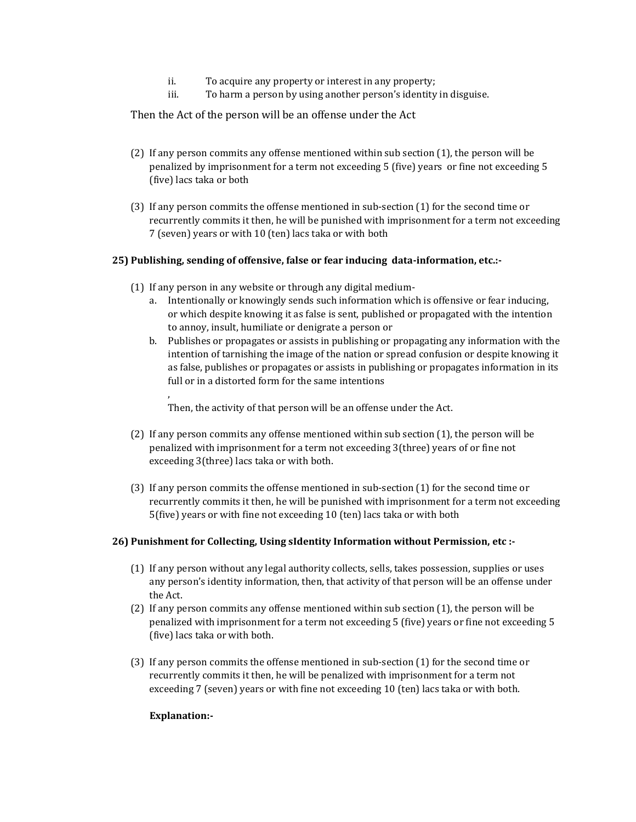- ii. To acquire any property or interest in any property;
- iii. To harm a person by using another person's identity in disguise.

Then the Act of the person will be an offense under the Act

- (2) If any person commits any offense mentioned within sub section (1), the person will be penalized by imprisonment for a term not exceeding 5 (five) years or fine not exceeding 5 (five) lacs taka or both
- (3) If any person commits the offense mentioned in sub-section (1) for the second time or recurrently commits it then, he will be punished with imprisonment for a term not exceeding 7 (seven) years or with 10 (ten) lacs taka or with both

## **25) Publishing, sending of offensive, false or fear inducing data-information, etc.:-**

- (1) If any person in any website or through any digital medium
	- a. Intentionally or knowingly sends such information which is offensive or fear inducing, or which despite knowing it as false is sent, published or propagated with the intention to annoy, insult, humiliate or denigrate a person or
	- b. Publishes or propagates or assists in publishing or propagating any information with the intention of tarnishing the image of the nation or spread confusion or despite knowing it as false, publishes or propagates or assists in publishing or propagates information in its full or in a distorted form for the same intentions

Then, the activity of that person will be an offense under the Act.

- (2) If any person commits any offense mentioned within sub section (1), the person will be penalized with imprisonment for a term not exceeding 3(three) years of or fine not exceeding 3(three) lacs taka or with both.
- (3) If any person commits the offense mentioned in sub-section (1) for the second time or recurrently commits it then, he will be punished with imprisonment for a term not exceeding 5(five) years or with fine not exceeding 10 (ten) lacs taka or with both

## **26) Punishment for Collecting, Using sIdentity Information without Permission, etc :-**

- (1) If any person without any legal authority collects, sells, takes possession, supplies or uses any person's identity information, then, that activity of that person will be an offense under the Act.
- (2) If any person commits any offense mentioned within sub section (1), the person will be penalized with imprisonment for a term not exceeding 5 (five) years or fine not exceeding 5 (five) lacs taka or with both.
- (3) If any person commits the offense mentioned in sub-section (1) for the second time or recurrently commits it then, he will be penalized with imprisonment for a term not exceeding 7 (seven) years or with fine not exceeding 10 (ten) lacs taka or with both.

## **Explanation:-**

,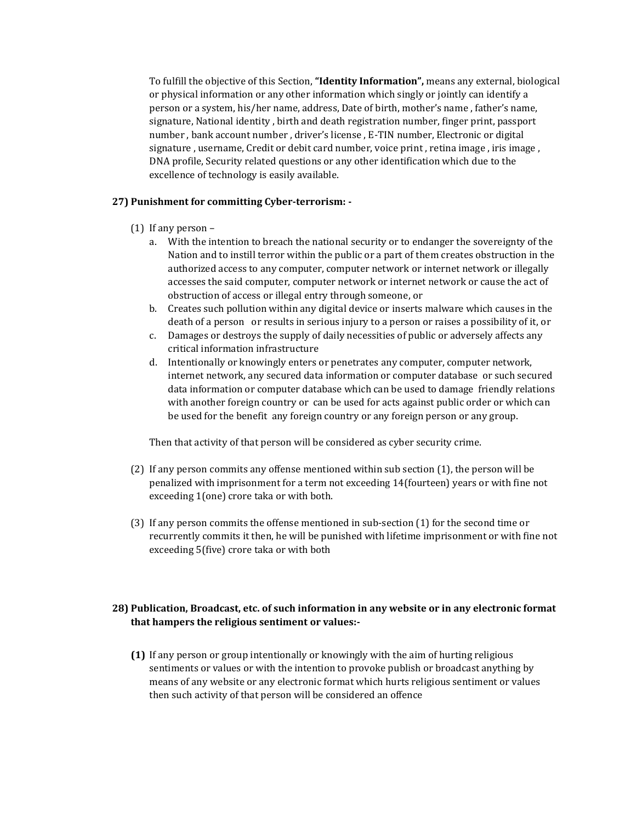To fulfill the objective of this Section, **"Identity Information",** means any external, biological or physical information or any other information which singly or jointly can identify a person or a system, his/her name, address, Date of birth, mother's name , father's name, signature, National identity , birth and death registration number, finger print, passport number , bank account number , driver's license , E-TIN number, Electronic or digital signature , username, Credit or debit card number, voice print , retina image , iris image , DNA profile, Security related questions or any other identification which due to the excellence of technology is easily available.

## **27) Punishment for committing Cyber-terrorism: -**

- (1) If any person
	- a. With the intention to breach the national security or to endanger the sovereignty of the Nation and to instill terror within the public or a part of them creates obstruction in the authorized access to any computer, computer network or internet network or illegally accesses the said computer, computer network or internet network or cause the act of obstruction of access or illegal entry through someone, or
	- b. Creates such pollution within any digital device or inserts malware which causes in the death of a person or results in serious injury to a person or raises a possibility of it, or
	- c. Damages or destroys the supply of daily necessities of public or adversely affects any critical information infrastructure
	- d. Intentionally or knowingly enters or penetrates any computer, computer network, internet network, any secured data information or computer database or such secured data information or computer database which can be used to damage friendly relations with another foreign country or can be used for acts against public order or which can be used for the benefit any foreign country or any foreign person or any group.

Then that activity of that person will be considered as cyber security crime.

- (2) If any person commits any offense mentioned within sub section (1), the person will be penalized with imprisonment for a term not exceeding 14(fourteen) years or with fine not exceeding 1(one) crore taka or with both.
- (3) If any person commits the offense mentioned in sub-section (1) for the second time or recurrently commits it then, he will be punished with lifetime imprisonment or with fine not exceeding 5(five) crore taka or with both

## **28) Publication, Broadcast, etc. of such information in any website or in any electronic format that hampers the religious sentiment or values:-**

**(1)** If any person or group intentionally or knowingly with the aim of hurting religious sentiments or values or with the intention to provoke publish or broadcast anything by means of any website or any electronic format which hurts religious sentiment or values then such activity of that person will be considered an offence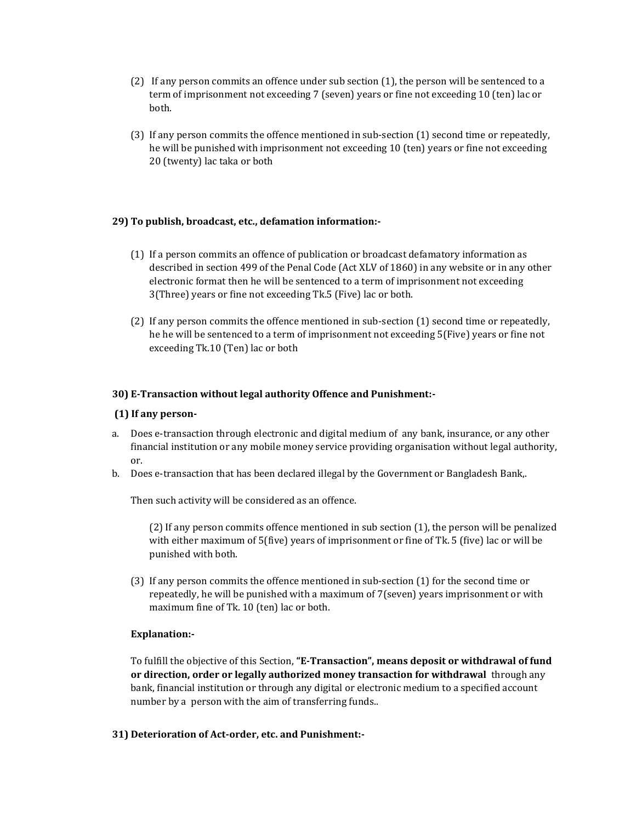- (2) If any person commits an offence under sub section (1), the person will be sentenced to a term of imprisonment not exceeding 7 (seven) years or fine not exceeding 10 (ten) lac or both.
- (3) If any person commits the offence mentioned in sub-section (1) second time or repeatedly, he will be punished with imprisonment not exceeding 10 (ten) years or fine not exceeding 20 (twenty) lac taka or both

## **29) To publish, broadcast, etc., defamation information:-**

- (1) If a person commits an offence of publication or broadcast defamatory information as described in section 499 of the Penal Code (Act XLV of 1860) in any website or in any other electronic format then he will be sentenced to a term of imprisonment not exceeding 3(Three) years or fine not exceeding Tk.5 (Five) lac or both.
- (2) If any person commits the offence mentioned in sub-section (1) second time or repeatedly, he he will be sentenced to a term of imprisonment not exceeding 5(Five) years or fine not exceeding Tk.10 (Ten) lac or both

## **30) E-Transaction without legal authority Offence and Punishment:-**

## **(1) If any person-**

- a. Does e-transaction through electronic and digital medium of any bank, insurance, or any other financial institution or any mobile money service providing organisation without legal authority, or.
- b. Does e-transaction that has been declared illegal by the Government or Bangladesh Bank,.

Then such activity will be considered as an offence.

(2) If any person commits offence mentioned in sub section (1), the person will be penalized with either maximum of 5(five) years of imprisonment or fine of Tk. 5 (five) lac or will be punished with both.

(3) If any person commits the offence mentioned in sub-section (1) for the second time or repeatedly, he will be punished with a maximum of 7(seven) years imprisonment or with maximum fine of Tk. 10 (ten) lac or both.

## **Explanation:-**

To fulfill the objective of this Section, **"E-Transaction", means deposit or withdrawal of fund or direction, order or legally authorized money transaction for withdrawal** through any bank, financial institution or through any digital or electronic medium to a specified account number by a person with the aim of transferring funds..

## **31) Deterioration of Act-order, etc. and Punishment:-**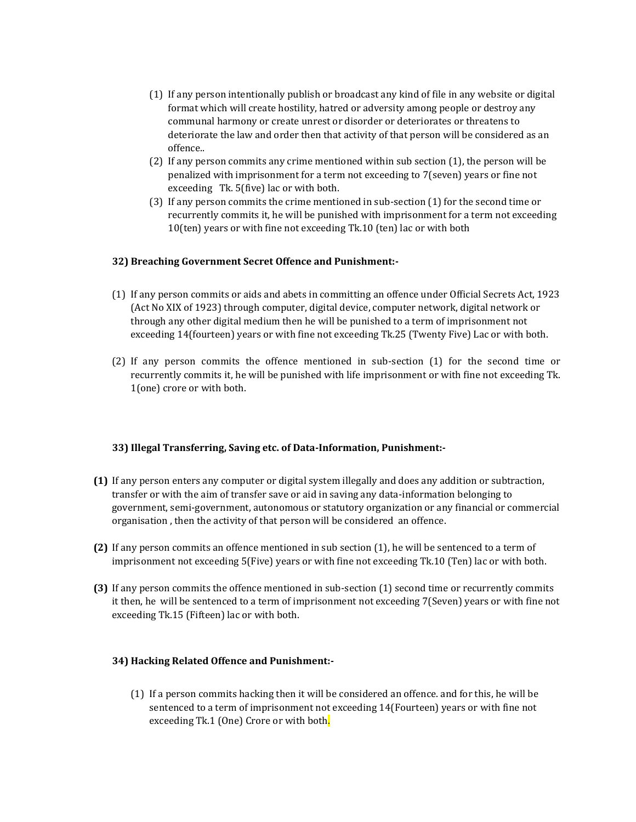- (1) If any person intentionally publish or broadcast any kind of file in any website or digital format which will create hostility, hatred or adversity among people or destroy any communal harmony or create unrest or disorder or deteriorates or threatens to deteriorate the law and order then that activity of that person will be considered as an offence..
- (2) If any person commits any crime mentioned within sub section (1), the person will be penalized with imprisonment for a term not exceeding to 7(seven) years or fine not exceeding Tk. 5(five) lac or with both.
- (3) If any person commits the crime mentioned in sub-section (1) for the second time or recurrently commits it, he will be punished with imprisonment for a term not exceeding 10(ten) years or with fine not exceeding Tk.10 (ten) lac or with both

## **32) Breaching Government Secret Offence and Punishment:-**

- (1) If any person commits or aids and abets in committing an offence under Official Secrets Act, 1923 (Act No XIX of 1923) through computer, digital device, computer network, digital network or through any other digital medium then he will be punished to a term of imprisonment not exceeding 14(fourteen) years or with fine not exceeding Tk.25 (Twenty Five) Lac or with both.
- (2) If any person commits the offence mentioned in sub-section (1) for the second time or recurrently commits it, he will be punished with life imprisonment or with fine not exceeding Tk. 1(one) crore or with both.

## **33) Illegal Transferring, Saving etc. of Data-Information, Punishment:-**

- **(1)** If any person enters any computer or digital system illegally and does any addition or subtraction, transfer or with the aim of transfer save or aid in saving any data-information belonging to government, semi-government, autonomous or statutory organization or any financial or commercial organisation , then the activity of that person will be considered an offence.
- **(2)** If any person commits an offence mentioned in sub section (1), he will be sentenced to a term of imprisonment not exceeding 5(Five) years or with fine not exceeding Tk.10 (Ten) lac or with both.
- **(3)** If any person commits the offence mentioned in sub-section (1) second time or recurrently commits it then, he will be sentenced to a term of imprisonment not exceeding 7(Seven) years or with fine not exceeding Tk.15 (Fifteen) lac or with both.

## **34) Hacking Related Offence and Punishment:-**

(1) If a person commits hacking then it will be considered an offence. and for this, he will be sentenced to a term of imprisonment not exceeding 14(Fourteen) years or with fine not exceeding Tk.1 (One) Crore or with both.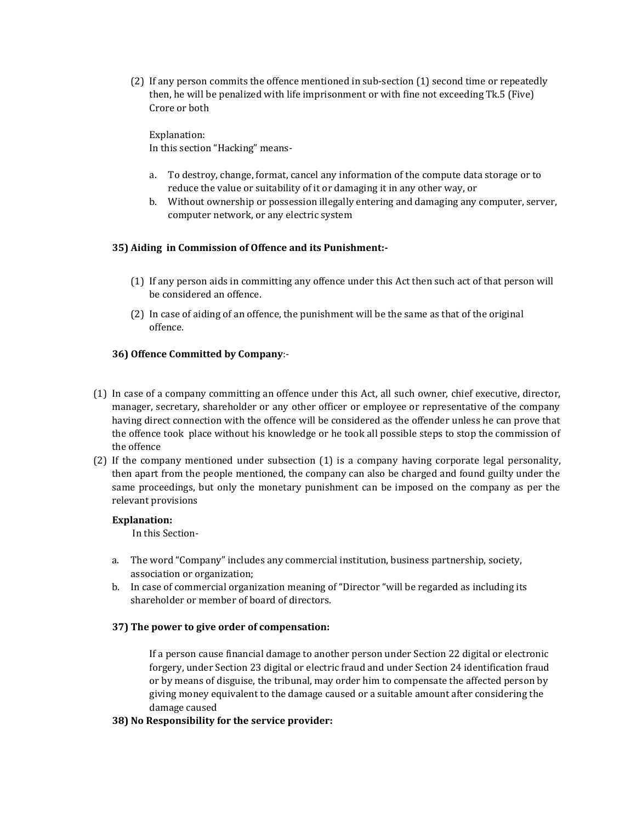(2) If any person commits the offence mentioned in sub-section (1) second time or repeatedly then, he will be penalized with life imprisonment or with fine not exceeding Tk.5 (Five) Crore or both

Explanation: In this section "Hacking" means-

- a. To destroy, change, format, cancel any information of the compute data storage or to reduce the value or suitability of it or damaging it in any other way, or
- b. Without ownership or possession illegally entering and damaging any computer, server, computer network, or any electric system

## **35) Aiding in Commission of Offence and its Punishment:-**

- (1) If any person aids in committing any offence under this Act then such act of that person will be considered an offence.
- (2) In case of aiding of an offence, the punishment will be the same as that of the original offence.

## **36) Offence Committed by Company**:-

- (1) In case of a company committing an offence under this Act, all such owner, chief executive, director, manager, secretary, shareholder or any other officer or employee or representative of the company having direct connection with the offence will be considered as the offender unless he can prove that the offence took place without his knowledge or he took all possible steps to stop the commission of the offence
- (2) If the company mentioned under subsection (1) is a company having corporate legal personality, then apart from the people mentioned, the company can also be charged and found guilty under the same proceedings, but only the monetary punishment can be imposed on the company as per the relevant provisions

## **Explanation:**

In this Section-

- a. The word "Company" includes any commercial institution, business partnership, society, association or organization;
- b. In case of commercial organization meaning of "Director "will be regarded as including its shareholder or member of board of directors.

## **37) The power to give order of compensation:**

If a person cause financial damage to another person under Section 22 digital or electronic forgery, under Section 23 digital or electric fraud and under Section 24 identification fraud or by means of disguise, the tribunal, may order him to compensate the affected person by giving money equivalent to the damage caused or a suitable amount after considering the damage caused

## **38) No Responsibility for the service provider:**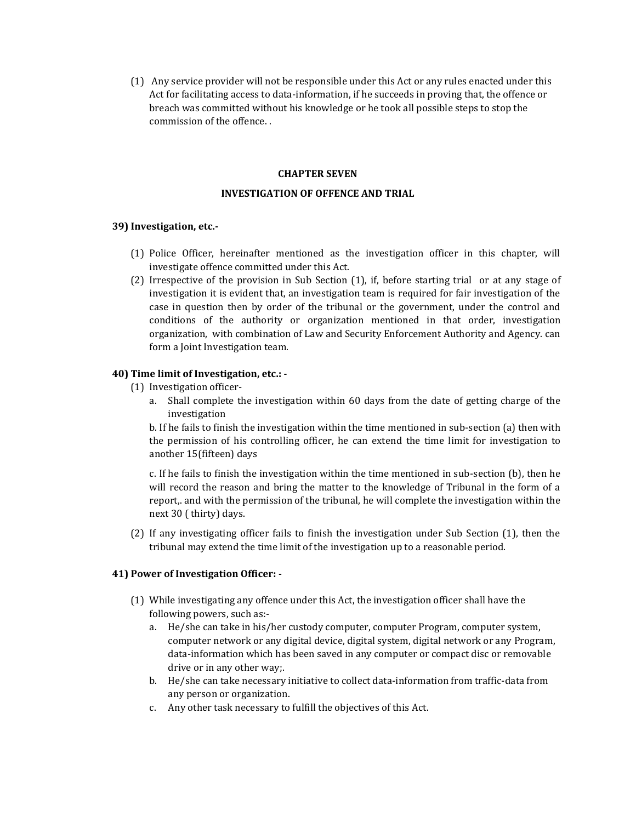(1) Any service provider will not be responsible under this Act or any rules enacted under this Act for facilitating access to data-information, if he succeeds in proving that, the offence or breach was committed without his knowledge or he took all possible steps to stop the commission of the offence. .

#### **CHAPTER SEVEN**

## **INVESTIGATION OF OFFENCE AND TRIAL**

#### **39) Investigation, etc.-**

- (1) Police Officer, hereinafter mentioned as the investigation officer in this chapter, will investigate offence committed under this Act.
- (2) Irrespective of the provision in Sub Section (1), if, before starting trial or at any stage of investigation it is evident that, an investigation team is required for fair investigation of the case in question then by order of the tribunal or the government, under the control and conditions of the authority or organization mentioned in that order, investigation organization, with combination of Law and Security Enforcement Authority and Agency. can form a Joint Investigation team.

#### **40) Time limit of Investigation, etc.: -**

- (1) Investigation officer
	- a. Shall complete the investigation within 60 days from the date of getting charge of the investigation

b. If he fails to finish the investigation within the time mentioned in sub-section (a) then with the permission of his controlling officer, he can extend the time limit for investigation to another 15(fifteen) days

c. If he fails to finish the investigation within the time mentioned in sub-section (b), then he will record the reason and bring the matter to the knowledge of Tribunal in the form of a report,. and with the permission of the tribunal, he will complete the investigation within the next 30 ( thirty) days.

(2) If any investigating officer fails to finish the investigation under Sub Section (1), then the tribunal may extend the time limit of the investigation up to a reasonable period.

## **41) Power of Investigation Officer: -**

- (1) While investigating any offence under this Act, the investigation officer shall have the following powers, such as:
	- a. He/she can take in his/her custody computer, computer Program, computer system, computer network or any digital device, digital system, digital network or any Program, data-information which has been saved in any computer or compact disc or removable drive or in any other way;.
	- b. He/she can take necessary initiative to collect data-information from traffic-data from any person or organization.
	- c. Any other task necessary to fulfill the objectives of this Act.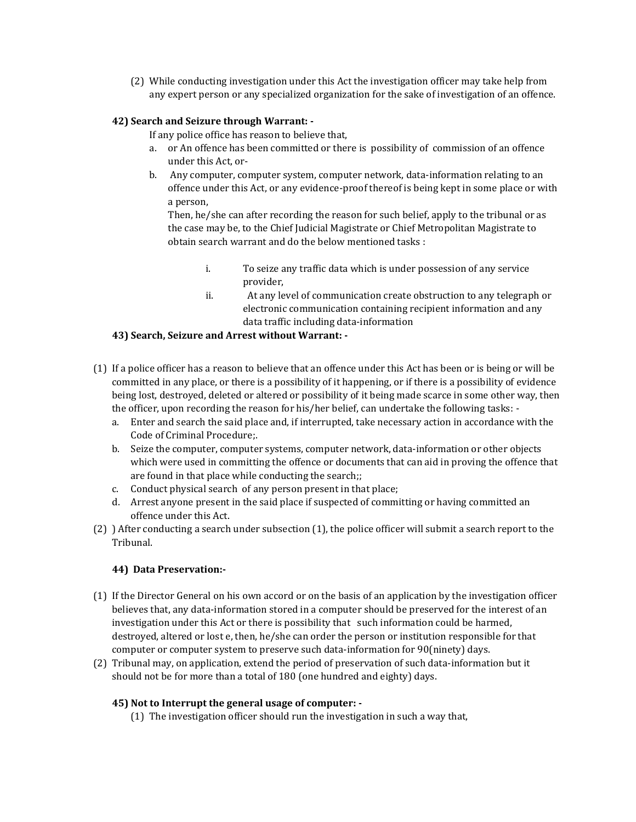(2) While conducting investigation under this Act the investigation officer may take help from any expert person or any specialized organization for the sake of investigation of an offence.

## **42) Search and Seizure through Warrant: -**

If any police office has reason to believe that,

- a. or An offence has been committed or there is possibility of commission of an offence under this Act, or-
- b. Any computer, computer system, computer network, data-information relating to an offence under this Act, or any evidence-proof thereof is being kept in some place or with a person,

Then, he/she can after recording the reason for such belief, apply to the tribunal or as the case may be, to the Chief Judicial Magistrate or Chief Metropolitan Magistrate to obtain search warrant and do the below mentioned tasks :

- i. To seize any traffic data which is under possession of any service provider,
- ii. At any level of communication create obstruction to any telegraph or electronic communication containing recipient information and any data traffic including data-information

## **43) Search, Seizure and Arrest without Warrant: -**

- (1) If a police officer has a reason to believe that an offence under this Act has been or is being or will be committed in any place, or there is a possibility of it happening, or if there is a possibility of evidence being lost, destroyed, deleted or altered or possibility of it being made scarce in some other way, then the officer, upon recording the reason for his/her belief, can undertake the following tasks:
	- a. Enter and search the said place and, if interrupted, take necessary action in accordance with the Code of Criminal Procedure;.
	- b. Seize the computer, computer systems, computer network, data-information or other objects which were used in committing the offence or documents that can aid in proving the offence that are found in that place while conducting the search;;
	- c. Conduct physical search of any person present in that place;
	- d. Arrest anyone present in the said place if suspected of committing or having committed an offence under this Act.
- (2) ) After conducting a search under subsection (1), the police officer will submit a search report to the Tribunal.

## **44) Data Preservation:-**

- (1) If the Director General on his own accord or on the basis of an application by the investigation officer believes that, any data-information stored in a computer should be preserved for the interest of an investigation under this Act or there is possibility that such information could be harmed, destroyed, altered or lost e, then, he/she can order the person or institution responsible for that computer or computer system to preserve such data-information for 90(ninety) days.
- (2) Tribunal may, on application, extend the period of preservation of such data-information but it should not be for more than a total of 180 (one hundred and eighty) days.

## **45) Not to Interrupt the general usage of computer: -**

(1) The investigation officer should run the investigation in such a way that,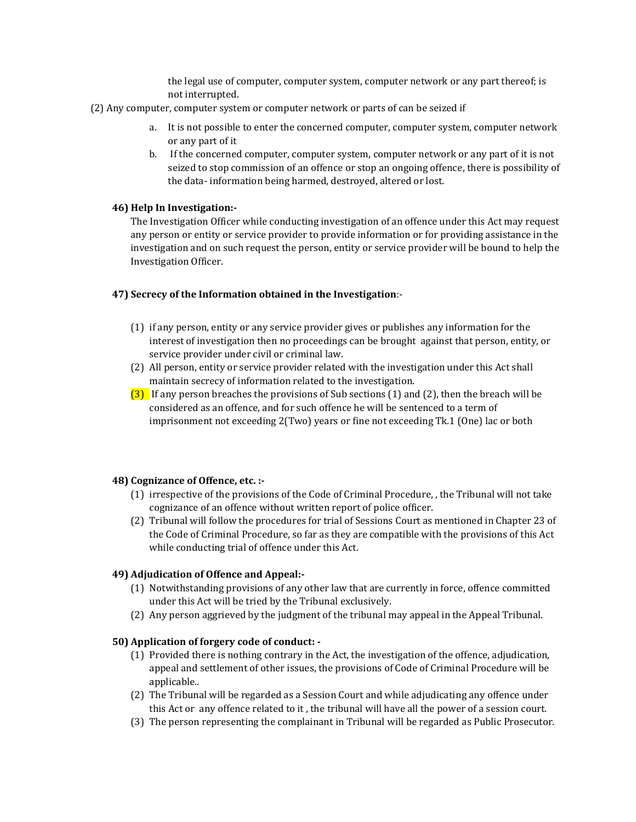the legal use of computer, computer system, computer network or any part thereof; is not interrupted.

- (2) Any computer, computer system or computer network or parts of can be seized if
	- a. It is not possible to enter the concerned computer, computer system, computer network or any part of it
	- b. If the concerned computer, computer system, computer network or any part of it is not seized to stop commission of an offence or stop an ongoing offence, there is possibility of the data- information being harmed, destroyed, altered or lost.

#### **46) Help In Investigation:-**

The Investigation Officer while conducting investigation of an offence under this Act may request any person or entity or service provider to provide information or for providing assistance in the investigation and on such request the person, entity or service provider will be bound to help the Investigation Officer.

## **47) Secrecy of the Information obtained in the Investigation**:-

- (1) if any person, entity or any service provider gives or publishes any information for the interest of investigation then no proceedings can be brought against that person, entity, or service provider under civil or criminal law.
- (2) All person, entity or service provider related with the investigation under this Act shall maintain secrecy of information related to the investigation.
- $(3)$  If any person breaches the provisions of Sub sections (1) and (2), then the breach will be considered as an offence, and for such offence he will be sentenced to a term of imprisonment not exceeding 2(Two) years or fine not exceeding Tk.1 (One) lac or both

#### **48) Cognizance of Offence, etc. :-**

- (1) irrespective of the provisions of the Code of Criminal Procedure, , the Tribunal will not take cognizance of an offence without written report of police officer.
- (2) Tribunal will follow the procedures for trial of Sessions Court as mentioned in Chapter 23 of the Code of Criminal Procedure, so far as they are compatible with the provisions of this Act while conducting trial of offence under this Act.

## **49) Adjudication of Offence and Appeal:-**

- (1) Notwithstanding provisions of any other law that are currently in force, offence committed under this Act will be tried by the Tribunal exclusively.
- (2) Any person aggrieved by the judgment of the tribunal may appeal in the Appeal Tribunal.

#### **50) Application of forgery code of conduct: -**

- (1) Provided there is nothing contrary in the Act, the investigation of the offence, adjudication, appeal and settlement of other issues, the provisions of Code of Criminal Procedure will be applicable..
- (2) The Tribunal will be regarded as a Session Court and while adjudicating any offence under this Act or any offence related to it , the tribunal will have all the power of a session court.
- (3) The person representing the complainant in Tribunal will be regarded as Public Prosecutor.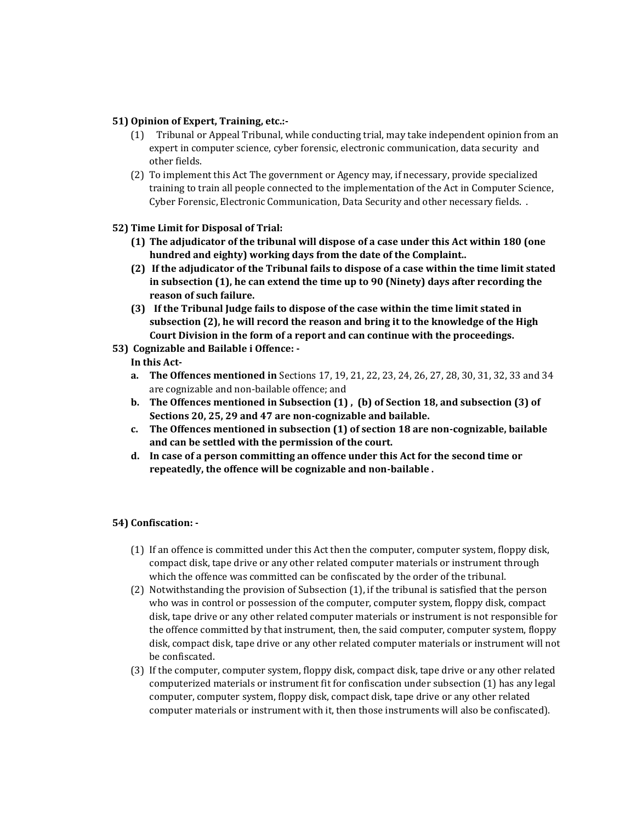## **51) Opinion of Expert, Training, etc.:-**

- (1) Tribunal or Appeal Tribunal, while conducting trial, may take independent opinion from an expert in computer science, cyber forensic, electronic communication, data security and other fields.
- (2) To implement this Act The government or Agency may, if necessary, provide specialized training to train all people connected to the implementation of the Act in Computer Science, Cyber Forensic, Electronic Communication, Data Security and other necessary fields. .

## **52) Time Limit for Disposal of Trial:**

- **(1) The adjudicator of the tribunal will dispose of a case under this Act within 180 (one hundred and eighty) working days from the date of the Complaint..**
- **(2) If the adjudicator of the Tribunal fails to dispose of a case within the time limit stated in subsection (1), he can extend the time up to 90 (Ninety) days after recording the reason of such failure.**
- **(3) If the Tribunal Judge fails to dispose of the case within the time limit stated in subsection (2), he will record the reason and bring it to the knowledge of the High Court Division in the form of a report and can continue with the proceedings.**
- **53) Cognizable and Bailable i Offence: -**

## **In this Act-**

- **a. The Offences mentioned in** Sections 17, 19, 21, 22, 23, 24, 26, 27, 28, 30, 31, 32, 33 and 34 are cognizable and non-bailable offence; and
- **b. The Offences mentioned in Subsection (1) , (b) of Section 18, and subsection (3) of Sections 20, 25, 29 and 47 are non-cognizable and bailable.**
- **c. The Offences mentioned in subsection (1) of section 18 are non-cognizable, bailable and can be settled with the permission of the court.**
- **d. In case of a person committing an offence under this Act for the second time or repeatedly, the offence will be cognizable and non-bailable .**

## **54) Confiscation: -**

- (1) If an offence is committed under this Act then the computer, computer system, floppy disk, compact disk, tape drive or any other related computer materials or instrument through which the offence was committed can be confiscated by the order of the tribunal.
- (2) Notwithstanding the provision of Subsection (1), if the tribunal is satisfied that the person who was in control or possession of the computer, computer system, floppy disk, compact disk, tape drive or any other related computer materials or instrument is not responsible for the offence committed by that instrument, then, the said computer, computer system, floppy disk, compact disk, tape drive or any other related computer materials or instrument will not be confiscated.
- (3) If the computer, computer system, floppy disk, compact disk, tape drive or any other related computerized materials or instrument fit for confiscation under subsection (1) has any legal computer, computer system, floppy disk, compact disk, tape drive or any other related computer materials or instrument with it, then those instruments will also be confiscated).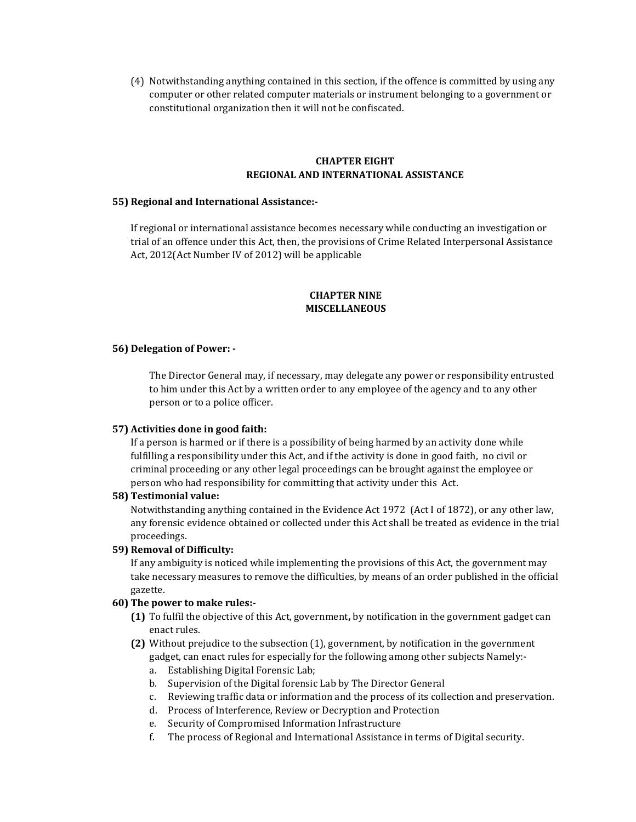(4) Notwithstanding anything contained in this section, if the offence is committed by using any computer or other related computer materials or instrument belonging to a government or constitutional organization then it will not be confiscated.

#### **CHAPTER EIGHT REGIONAL AND INTERNATIONAL ASSISTANCE**

#### **55) Regional and International Assistance:-**

If regional or international assistance becomes necessary while conducting an investigation or trial of an offence under this Act, then, the provisions of Crime Related Interpersonal Assistance Act, 2012(Act Number IV of 2012) will be applicable

## **CHAPTER NINE MISCELLANEOUS**

#### **56) Delegation of Power: -**

The Director General may, if necessary, may delegate any power or responsibility entrusted to him under this Act by a written order to any employee of the agency and to any other person or to a police officer.

#### **57) Activities done in good faith:**

If a person is harmed or if there is a possibility of being harmed by an activity done while fulfilling a responsibility under this Act, and if the activity is done in good faith, no civil or criminal proceeding or any other legal proceedings can be brought against the employee or person who had responsibility for committing that activity under this Act.

#### **58) Testimonial value:**

Notwithstanding anything contained in the Evidence Act 1972 (Act I of 1872), or any other law, any forensic evidence obtained or collected under this Act shall be treated as evidence in the trial proceedings.

#### **59) Removal of Difficulty:**

If any ambiguity is noticed while implementing the provisions of this Act, the government may take necessary measures to remove the difficulties, by means of an order published in the official gazette.

## **60) The power to make rules:-**

- **(1)** To fulfil the objective of this Act, government**,** by notification in the government gadget can enact rules.
- **(2)** Without prejudice to the subsection (1), government, by notification in the government gadget, can enact rules for especially for the following among other subjects Namely:
	- a. Establishing Digital Forensic Lab;
	- b. Supervision of the Digital forensic Lab by The Director General
	- c. Reviewing traffic data or information and the process of its collection and preservation.
	- d. Process of Interference, Review or Decryption and Protection
	- e. Security of Compromised Information Infrastructure
	- f. The process of Regional and International Assistance in terms of Digital security.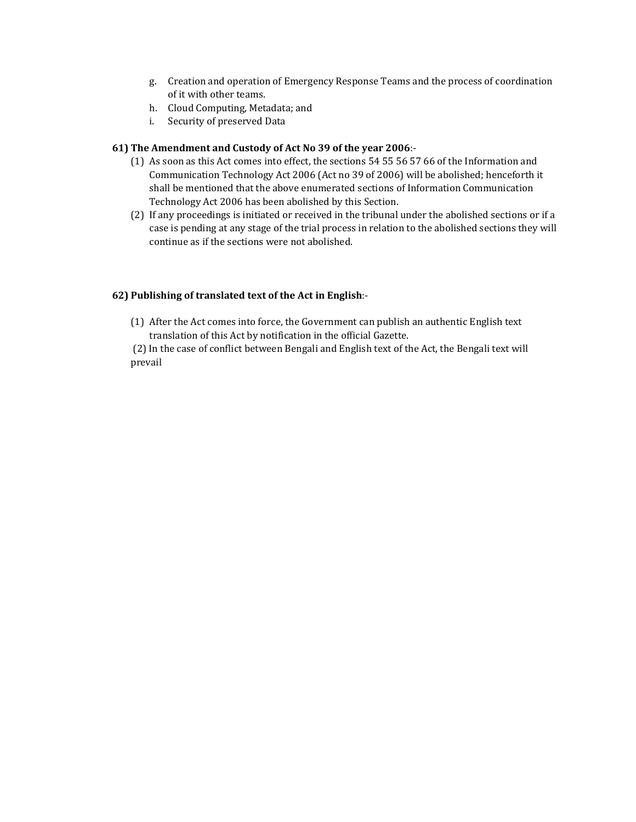- g. Creation and operation of Emergency Response Teams and the process of coordination of it with other teams.
- h. Cloud Computing, Metadata; and
- i. Security of preserved Data

## **61) The Amendment and Custody of Act No 39 of the year 2006**:-

- (1) As soon as this Act comes into effect, the sections 54 55 56 57 66 of the Information and Communication Technology Act 2006 (Act no 39 of 2006) will be abolished; henceforth it shall be mentioned that the above enumerated sections of Information Communication Technology Act 2006 has been abolished by this Section.
- (2) If any proceedings is initiated or received in the tribunal under the abolished sections or if a case is pending at any stage of the trial process in relation to the abolished sections they will continue as if the sections were not abolished.

## **62) Publishing of translated text of the Act in English**:-

(1) After the Act comes into force, the Government can publish an authentic English text translation of this Act by notification in the official Gazette.

(2) In the case of conflict between Bengali and English text of the Act, the Bengali text will prevail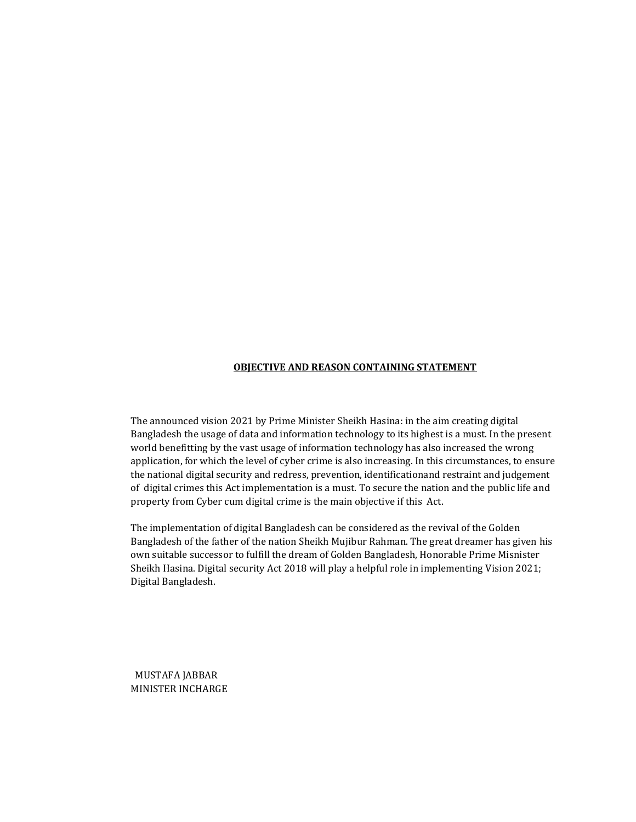## **OBJECTIVE AND REASON CONTAINING STATEMENT**

The announced vision 2021 by Prime Minister Sheikh Hasina: in the aim creating digital Bangladesh the usage of data and information technology to its highest is a must. In the present world benefitting by the vast usage of information technology has also increased the wrong application, for which the level of cyber crime is also increasing. In this circumstances, to ensure the national digital security and redress, prevention, identificationand restraint and judgement of digital crimes this Act implementation is a must. To secure the nation and the public life and property from Cyber cum digital crime is the main objective if this Act.

The implementation of digital Bangladesh can be considered as the revival of the Golden Bangladesh of the father of the nation Sheikh Mujibur Rahman. The great dreamer has given his own suitable successor to fulfill the dream of Golden Bangladesh, Honorable Prime Misnister Sheikh Hasina. Digital security Act 2018 will play a helpful role in implementing Vision 2021; Digital Bangladesh.

 MUSTAFA JABBAR MINISTER INCHARGE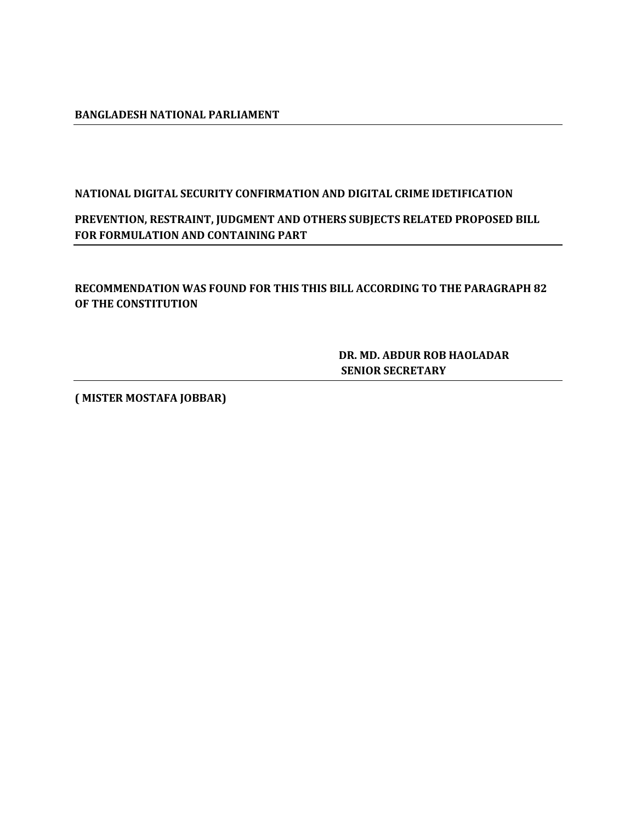# **BANGLADESH NATIONAL PARLIAMENT**

# **NATIONAL DIGITAL SECURITY CONFIRMATION AND DIGITAL CRIME IDETIFICATION**

# **PREVENTION, RESTRAINT, JUDGMENT AND OTHERS SUBJECTS RELATED PROPOSED BILL FOR FORMULATION AND CONTAINING PART**

**RECOMMENDATION WAS FOUND FOR THIS THIS BILL ACCORDING TO THE PARAGRAPH 82 OF THE CONSTITUTION**

> **DR. MD. ABDUR ROB HAOLADAR SENIOR SECRETARY**

**( MISTER MOSTAFA JOBBAR)**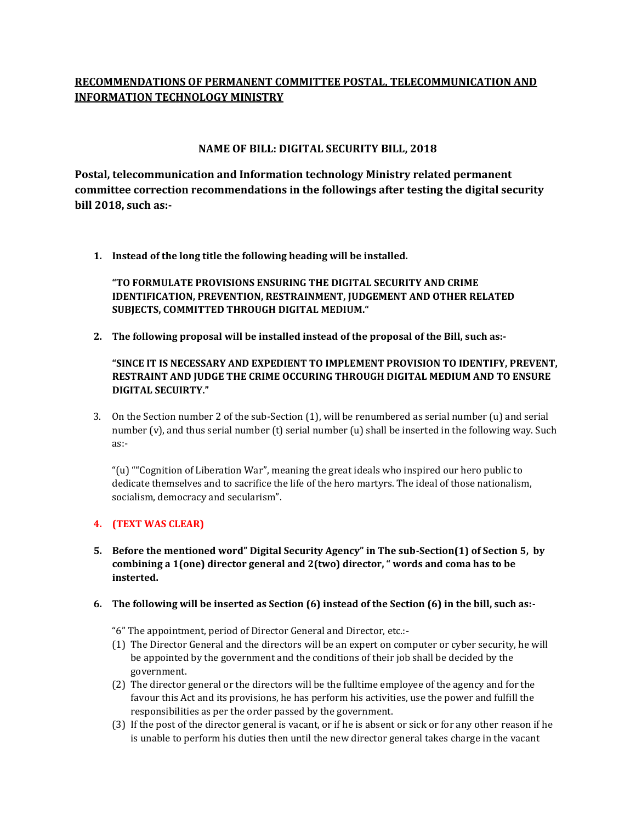# **RECOMMENDATIONS OF PERMANENT COMMITTEE POSTAL, TELECOMMUNICATION AND INFORMATION TECHNOLOGY MINISTRY**

# **NAME OF BILL: DIGITAL SECURITY BILL, 2018**

**Postal, telecommunication and Information technology Ministry related permanent committee correction recommendations in the followings after testing the digital security bill 2018, such as:-**

**1. Instead of the long title the following heading will be installed.**

**"TO FORMULATE PROVISIONS ENSURING THE DIGITAL SECURITY AND CRIME IDENTIFICATION, PREVENTION, RESTRAINMENT, JUDGEMENT AND OTHER RELATED SUBJECTS, COMMITTED THROUGH DIGITAL MEDIUM."**

**2. The following proposal will be installed instead of the proposal of the Bill, such as:-**

**"SINCE IT IS NECESSARY AND EXPEDIENT TO IMPLEMENT PROVISION TO IDENTIFY, PREVENT, RESTRAINT AND JUDGE THE CRIME OCCURING THROUGH DIGITAL MEDIUM AND TO ENSURE DIGITAL SECUIRTY."**

3. On the Section number 2 of the sub-Section (1), will be renumbered as serial number (u) and serial number (v), and thus serial number (t) serial number (u) shall be inserted in the following way. Such as:-

"(u) ""Cognition of Liberation War", meaning the great ideals who inspired our hero public to dedicate themselves and to sacrifice the life of the hero martyrs. The ideal of those nationalism, socialism, democracy and secularism".

## **4. (TEXT WAS CLEAR)**

**5. Before the mentioned word" Digital Security Agency" in The sub-Section(1) of Section 5, by combining a 1(one) director general and 2(two) director, " words and coma has to be insterted.**

## **6. The following will be inserted as Section (6) instead of the Section (6) in the bill, such as:-**

"6" The appointment, period of Director General and Director, etc.:-

- (1) The Director General and the directors will be an expert on computer or cyber security, he will be appointed by the government and the conditions of their job shall be decided by the government.
- (2) The director general or the directors will be the fulltime employee of the agency and for the favour this Act and its provisions, he has perform his activities, use the power and fulfill the responsibilities as per the order passed by the government.
- (3) If the post of the director general is vacant, or if he is absent or sick or for any other reason if he is unable to perform his duties then until the new director general takes charge in the vacant